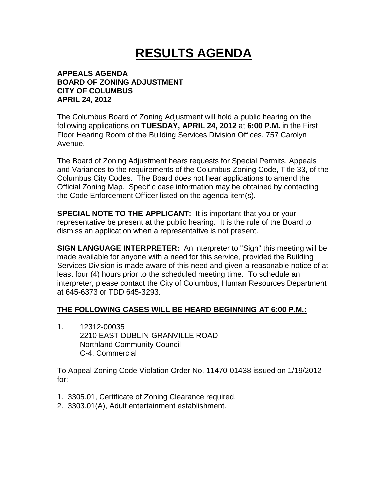## **RESULTS AGENDA**

## **APPEALS AGENDA BOARD OF ZONING ADJUSTMENT CITY OF COLUMBUS APRIL 24, 2012**

The Columbus Board of Zoning Adjustment will hold a public hearing on the following applications on **TUESDAY, APRIL 24, 2012** at **6:00 P.M.** in the First Floor Hearing Room of the Building Services Division Offices, 757 Carolyn Avenue.

The Board of Zoning Adjustment hears requests for Special Permits, Appeals and Variances to the requirements of the Columbus Zoning Code, Title 33, of the Columbus City Codes. The Board does not hear applications to amend the Official Zoning Map. Specific case information may be obtained by contacting the Code Enforcement Officer listed on the agenda item(s).

**SPECIAL NOTE TO THE APPLICANT:** It is important that you or your representative be present at the public hearing. It is the rule of the Board to dismiss an application when a representative is not present.

**SIGN LANGUAGE INTERPRETER:** An interpreter to "Sign" this meeting will be made available for anyone with a need for this service, provided the Building Services Division is made aware of this need and given a reasonable notice of at least four (4) hours prior to the scheduled meeting time. To schedule an interpreter, please contact the City of Columbus, Human Resources Department at 645-6373 or TDD 645-3293.

## **THE FOLLOWING CASES WILL BE HEARD BEGINNING AT 6:00 P.M.:**

1. 12312-00035 2210 EAST DUBLIN-GRANVILLE ROAD Northland Community Council C-4, Commercial

To Appeal Zoning Code Violation Order No. 11470-01438 issued on 1/19/2012 for:

- 1. 3305.01, Certificate of Zoning Clearance required.
- 2. 3303.01(A), Adult entertainment establishment.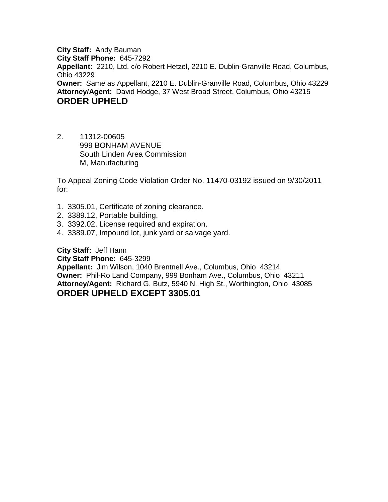**City Staff:** Andy Bauman **City Staff Phone:** 645-7292 **Appellant:** 2210, Ltd. c/o Robert Hetzel, 2210 E. Dublin-Granville Road, Columbus, Ohio 43229 **Owner:** Same as Appellant, 2210 E. Dublin-Granville Road, Columbus, Ohio 43229 **Attorney/Agent:** David Hodge, 37 West Broad Street, Columbus, Ohio 43215 **ORDER UPHELD**

2. 11312-00605 999 BONHAM AVENUE South Linden Area Commission M, Manufacturing

To Appeal Zoning Code Violation Order No. 11470-03192 issued on 9/30/2011 for:

- 1. 3305.01, Certificate of zoning clearance.
- 2. 3389.12, Portable building.
- 3. 3392.02, License required and expiration.
- 4. 3389.07, Impound lot, junk yard or salvage yard.

**City Staff:** Jeff Hann

**City Staff Phone:** 645-3299

**Appellant:** Jim Wilson, 1040 Brentnell Ave., Columbus, Ohio 43214 **Owner:** Phil-Ro Land Company, 999 Bonham Ave., Columbus, Ohio 43211 **Attorney/Agent:** Richard G. Butz, 5940 N. High St., Worthington, Ohio 43085 **ORDER UPHELD EXCEPT 3305.01**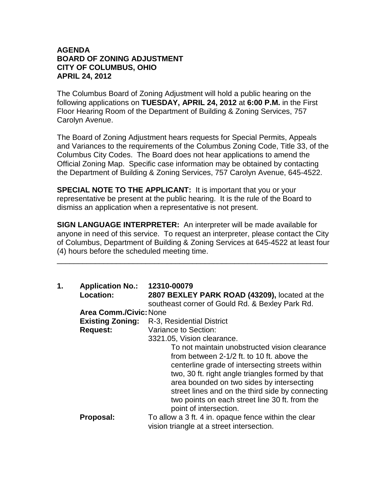## **AGENDA BOARD OF ZONING ADJUSTMENT CITY OF COLUMBUS, OHIO APRIL 24, 2012**

The Columbus Board of Zoning Adjustment will hold a public hearing on the following applications on **TUESDAY, APRIL 24, 2012** at **6:00 P.M.** in the First Floor Hearing Room of the Department of Building & Zoning Services, 757 Carolyn Avenue.

The Board of Zoning Adjustment hears requests for Special Permits, Appeals and Variances to the requirements of the Columbus Zoning Code, Title 33, of the Columbus City Codes. The Board does not hear applications to amend the Official Zoning Map. Specific case information may be obtained by contacting the Department of Building & Zoning Services, 757 Carolyn Avenue, 645-4522.

**SPECIAL NOTE TO THE APPLICANT:** It is important that you or your representative be present at the public hearing. It is the rule of the Board to dismiss an application when a representative is not present.

**SIGN LANGUAGE INTERPRETER:** An interpreter will be made available for anyone in need of this service. To request an interpreter, please contact the City of Columbus, Department of Building & Zoning Services at 645-4522 at least four (4) hours before the scheduled meeting time.

\_\_\_\_\_\_\_\_\_\_\_\_\_\_\_\_\_\_\_\_\_\_\_\_\_\_\_\_\_\_\_\_\_\_\_\_\_\_\_\_\_\_\_\_\_\_\_\_\_\_\_\_\_\_\_\_\_\_\_\_\_\_\_\_

| 1. | <b>Application No.:</b><br>Location: | 12310-00079<br>2807 BEXLEY PARK ROAD (43209), located at the<br>southeast corner of Gould Rd. & Bexley Park Rd.                                                                                                                                                                                                                                                                 |
|----|--------------------------------------|---------------------------------------------------------------------------------------------------------------------------------------------------------------------------------------------------------------------------------------------------------------------------------------------------------------------------------------------------------------------------------|
|    | <b>Area Comm./Civic: None</b>        |                                                                                                                                                                                                                                                                                                                                                                                 |
|    | <b>Existing Zoning:</b>              | R-3, Residential District                                                                                                                                                                                                                                                                                                                                                       |
|    | <b>Request:</b>                      | Variance to Section:                                                                                                                                                                                                                                                                                                                                                            |
|    |                                      | 3321.05, Vision clearance.                                                                                                                                                                                                                                                                                                                                                      |
|    |                                      | To not maintain unobstructed vision clearance<br>from between 2-1/2 ft. to 10 ft. above the<br>centerline grade of intersecting streets within<br>two, 30 ft. right angle triangles formed by that<br>area bounded on two sides by intersecting<br>street lines and on the third side by connecting<br>two points on each street line 30 ft. from the<br>point of intersection. |
|    | Proposal:                            | To allow a 3 ft. 4 in. opaque fence within the clear<br>vision triangle at a street intersection.                                                                                                                                                                                                                                                                               |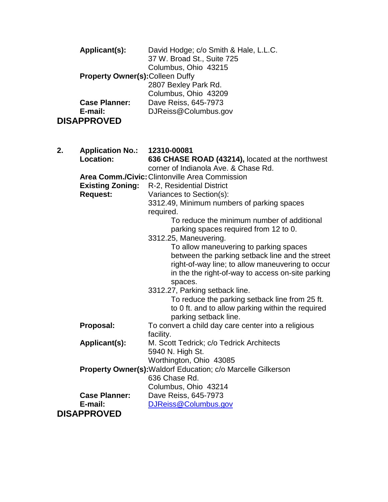|    | Applicant(s):           | David Hodge; c/o Smith & Hale, L.L.C.<br>37 W. Broad St., Suite 725 |  |  |  |
|----|-------------------------|---------------------------------------------------------------------|--|--|--|
|    |                         | Columbus, Ohio 43215                                                |  |  |  |
|    |                         | <b>Property Owner(s): Colleen Duffy</b>                             |  |  |  |
|    |                         | 2807 Bexley Park Rd.                                                |  |  |  |
|    |                         | Columbus, Ohio 43209                                                |  |  |  |
|    | <b>Case Planner:</b>    | Dave Reiss, 645-7973                                                |  |  |  |
|    | E-mail:                 | DJReiss@Columbus.gov                                                |  |  |  |
|    | <b>DISAPPROVED</b>      |                                                                     |  |  |  |
|    |                         |                                                                     |  |  |  |
|    |                         |                                                                     |  |  |  |
| 2. | <b>Application No.:</b> | 12310-00081                                                         |  |  |  |
|    | Location:               | 636 CHASE ROAD (43214), located at the northwest                    |  |  |  |
|    |                         | corner of Indianola Ave. & Chase Rd.                                |  |  |  |
|    |                         | <b>Area Comm./Civic: Clintonville Area Commission</b>               |  |  |  |
|    | <b>Existing Zoning:</b> | R-2, Residential District                                           |  |  |  |
|    | <b>Request:</b>         | Variances to Section(s):                                            |  |  |  |
|    |                         | 3312.49, Minimum numbers of parking spaces                          |  |  |  |
|    |                         | required.                                                           |  |  |  |
|    |                         | To reduce the minimum number of additional                          |  |  |  |
|    |                         | parking spaces required from 12 to 0.                               |  |  |  |
|    |                         | 3312.25, Maneuvering.                                               |  |  |  |
|    |                         | To allow maneuvering to parking spaces                              |  |  |  |
|    |                         | between the parking setback line and the street                     |  |  |  |
|    |                         | right-of-way line; to allow maneuvering to occur                    |  |  |  |
|    |                         | in the the right-of-way to access on-site parking                   |  |  |  |
|    |                         | spaces.                                                             |  |  |  |
|    |                         | 3312.27, Parking setback line.                                      |  |  |  |
|    |                         | To reduce the parking setback line from 25 ft.                      |  |  |  |
|    |                         | to 0 ft. and to allow parking within the required                   |  |  |  |
|    |                         | parking setback line.                                               |  |  |  |
|    | Proposal:               | To convert a child day care center into a religious                 |  |  |  |
|    |                         | facility.                                                           |  |  |  |
|    | Applicant(s):           | M. Scott Tedrick; c/o Tedrick Architects                            |  |  |  |
|    |                         | 5940 N. High St.                                                    |  |  |  |
|    |                         | Worthington, Ohio 43085                                             |  |  |  |
|    |                         | <b>Property Owner(s):</b> Waldorf Education; c/o Marcelle Gilkerson |  |  |  |
|    |                         | 636 Chase Rd.                                                       |  |  |  |
|    |                         | Columbus, Ohio 43214                                                |  |  |  |
|    | <b>Case Planner:</b>    | Dave Reiss, 645-7973                                                |  |  |  |
|    | E-mail:                 | DJReiss@Columbus.gov                                                |  |  |  |
|    | <b>DISAPPROVED</b>      |                                                                     |  |  |  |